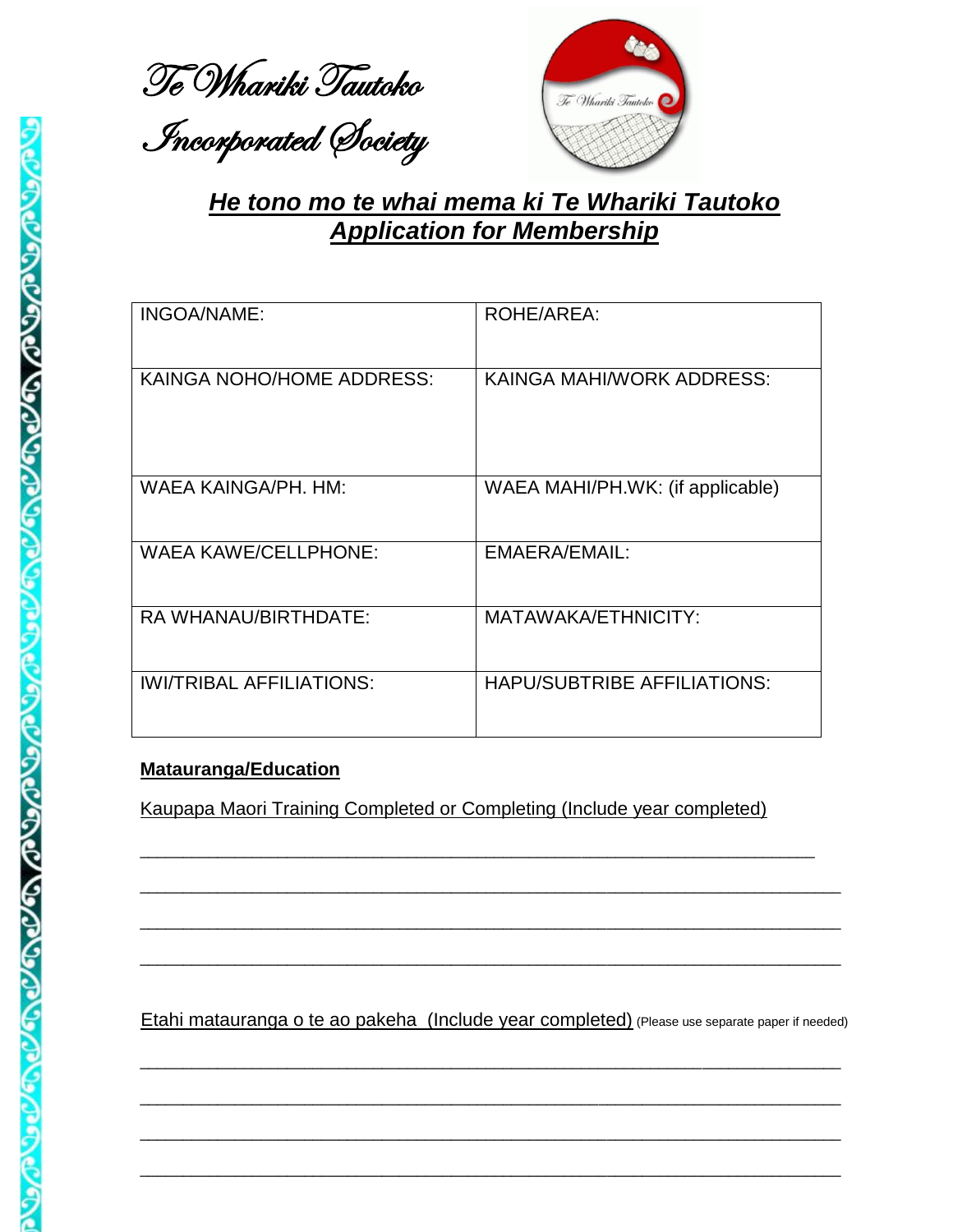Te Whariki Tautoko





# *He tono mo te whai mema ki Te Whariki Tautoko Application for Membership*

| INGOA/NAME:                     | ROHE/AREA:                         |
|---------------------------------|------------------------------------|
| KAINGA NOHO/HOME ADDRESS:       | KAINGA MAHI/WORK ADDRESS:          |
| WAEA KAINGA/PH, HM:             | WAEA MAHI/PH.WK: (if applicable)   |
| <b>WAEA KAWE/CELLPHONE:</b>     | EMAERA/EMAIL:                      |
| RA WHANAU/BIRTHDATE:            | MATAWAKA/ETHNICITY:                |
| <b>IWI/TRIBAL AFFILIATIONS:</b> | <b>HAPU/SUBTRIBE AFFILIATIONS:</b> |

### **Matauranga/Education**

Kaupapa Maori Training Completed or Completing (Include year completed)

\_\_\_\_\_\_\_\_\_\_\_\_\_\_\_\_\_\_\_\_\_\_\_\_\_\_\_\_\_\_\_\_\_\_\_\_\_\_\_\_\_\_\_\_\_\_\_\_\_\_\_\_\_\_\_\_\_\_\_\_\_\_\_\_\_\_\_\_\_\_\_\_\_\_\_\_\_\_

\_\_\_\_\_\_\_\_\_\_\_\_\_\_\_\_\_\_\_\_\_\_\_\_\_\_\_\_\_\_\_\_\_\_\_\_\_\_\_\_\_\_\_\_\_\_\_\_\_\_\_\_\_\_\_\_\_\_\_\_\_\_\_\_\_\_\_\_\_\_\_\_\_\_\_\_\_\_\_\_\_

\_\_\_\_\_\_\_\_\_\_\_\_\_\_\_\_\_\_\_\_\_\_\_\_\_\_\_\_\_\_\_\_\_\_\_\_\_\_\_\_\_\_\_\_\_\_\_\_\_\_\_\_\_\_\_\_\_\_\_\_\_\_\_\_\_\_\_\_\_\_\_\_\_\_\_\_\_\_\_\_\_

\_\_\_\_\_\_\_\_\_\_\_\_\_\_\_\_\_\_\_\_\_\_\_\_\_\_\_\_\_\_\_\_\_\_\_\_\_\_\_\_\_\_\_\_\_\_\_\_\_\_\_\_\_\_\_\_\_\_\_\_\_\_\_\_\_\_\_\_\_\_\_\_\_\_\_\_\_\_\_\_\_

Etahi matauranga o te ao pakeha (Include year completed) (Please use separate paper if needed)

\_\_\_\_\_\_\_\_\_\_\_\_\_\_\_\_\_\_\_\_\_\_\_\_\_\_\_\_\_\_\_\_\_\_\_\_\_\_\_\_\_\_\_\_\_\_\_\_\_\_\_\_\_\_\_\_\_\_\_\_\_\_\_\_\_\_\_\_\_\_\_\_\_\_\_\_\_\_\_\_\_

\_\_\_\_\_\_\_\_\_\_\_\_\_\_\_\_\_\_\_\_\_\_\_\_\_\_\_\_\_\_\_\_\_\_\_\_\_\_\_\_\_\_\_\_\_\_\_\_\_\_\_\_\_\_\_\_\_\_\_\_\_\_\_\_\_\_\_\_\_\_\_\_\_\_\_\_\_\_\_\_\_

\_\_\_\_\_\_\_\_\_\_\_\_\_\_\_\_\_\_\_\_\_\_\_\_\_\_\_\_\_\_\_\_\_\_\_\_\_\_\_\_\_\_\_\_\_\_\_\_\_\_\_\_\_\_\_\_\_\_\_\_\_\_\_\_\_\_\_\_\_\_\_\_\_\_\_\_\_\_\_\_\_

\_\_\_\_\_\_\_\_\_\_\_\_\_\_\_\_\_\_\_\_\_\_\_\_\_\_\_\_\_\_\_\_\_\_\_\_\_\_\_\_\_\_\_\_\_\_\_\_\_\_\_\_\_\_\_\_\_\_\_\_\_\_\_\_\_\_\_\_\_\_\_\_\_\_\_\_\_\_\_\_\_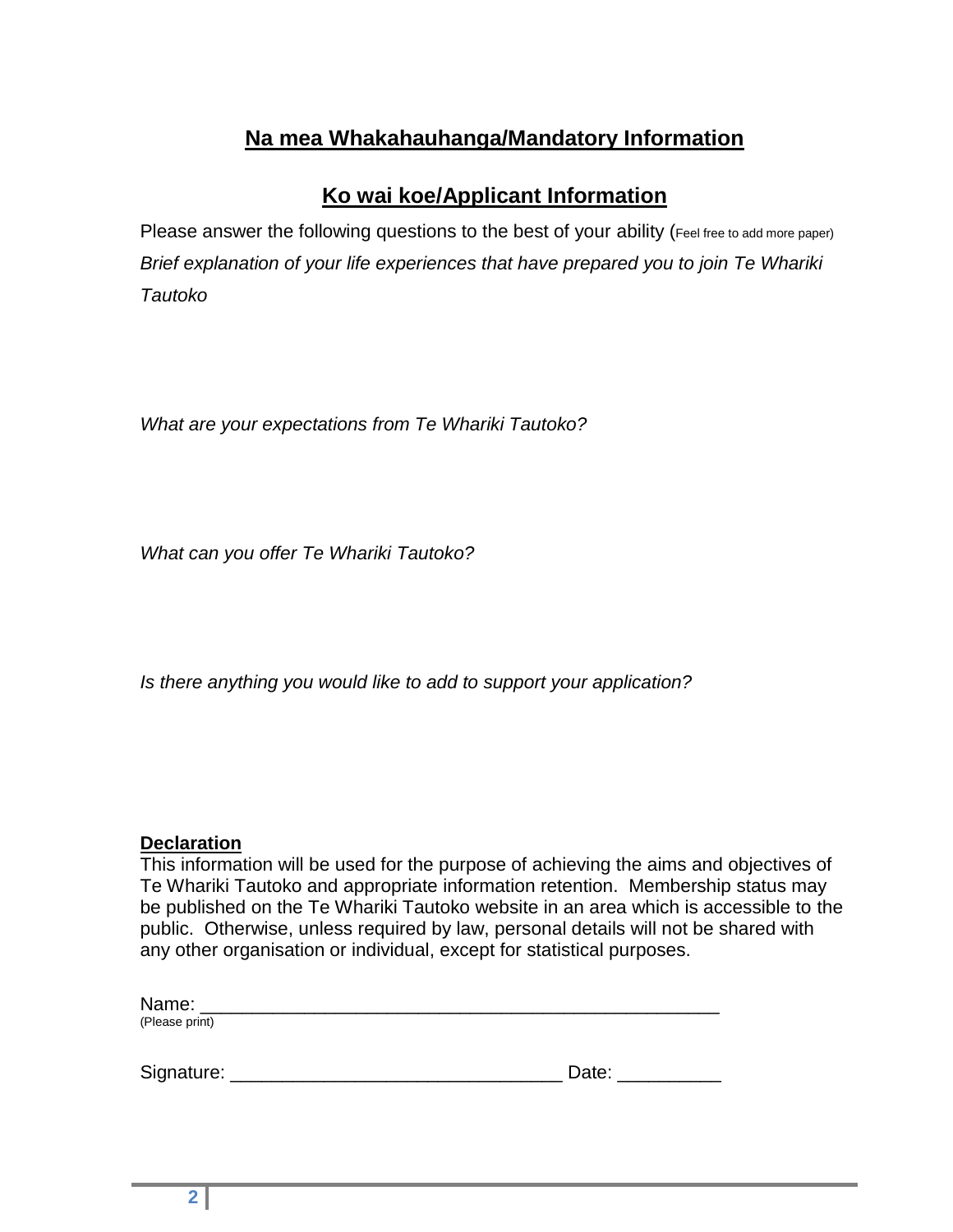## **Na mea Whakahauhanga/Mandatory Information**

### **Ko wai koe/Applicant Information**

Please answer the following questions to the best of your ability (Feel free to add more paper) *Brief explanation of your life experiences that have prepared you to join Te Whariki Tautoko* 

*What are your expectations from Te Whariki Tautoko?*

*What can you offer Te Whariki Tautoko?*

*Is there anything you would like to add to support your application?*

#### **Declaration**

This information will be used for the purpose of achieving the aims and objectives of Te Whariki Tautoko and appropriate information retention. Membership status may be published on the Te Whariki Tautoko website in an area which is accessible to the public. Otherwise, unless required by law, personal details will not be shared with any other organisation or individual, except for statistical purposes.

| Signature: | Date: |  |
|------------|-------|--|
|            |       |  |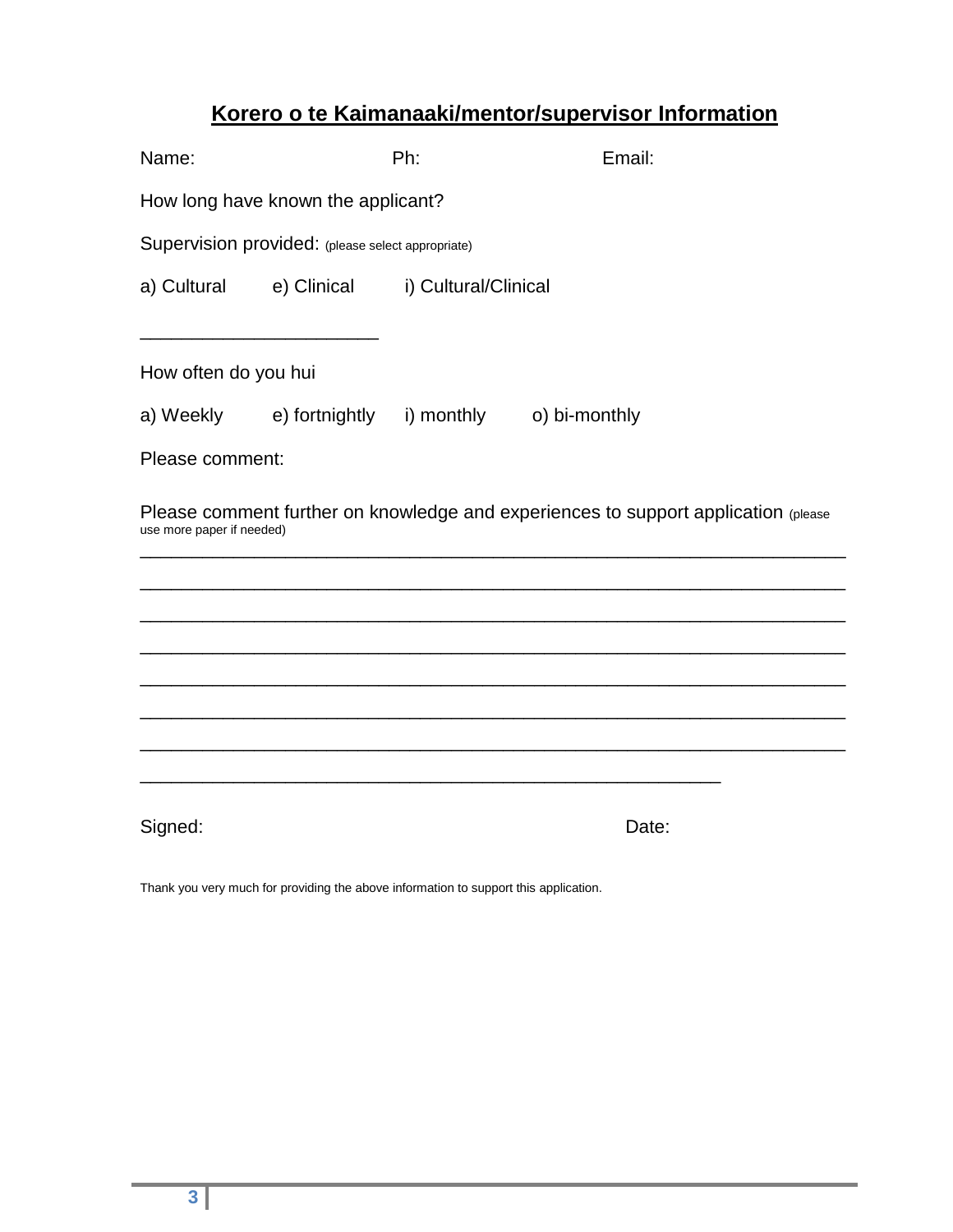## **Korero o te Kaimanaaki/mentor/supervisor Information**

| Name:                                                                                                           |                                                   | Ph:                                               | Email: |  |  |  |
|-----------------------------------------------------------------------------------------------------------------|---------------------------------------------------|---------------------------------------------------|--------|--|--|--|
|                                                                                                                 | How long have known the applicant?                |                                                   |        |  |  |  |
|                                                                                                                 | Supervision provided: (please select appropriate) |                                                   |        |  |  |  |
|                                                                                                                 |                                                   | a) Cultural (a) Clinical (a) Cultural/Clinical    |        |  |  |  |
|                                                                                                                 |                                                   |                                                   |        |  |  |  |
| How often do you hui                                                                                            |                                                   |                                                   |        |  |  |  |
|                                                                                                                 |                                                   | a) Weekly e) fortnightly i) monthly o) bi-monthly |        |  |  |  |
| Please comment:                                                                                                 |                                                   |                                                   |        |  |  |  |
| Please comment further on knowledge and experiences to support application (please<br>use more paper if needed) |                                                   |                                                   |        |  |  |  |
|                                                                                                                 |                                                   |                                                   |        |  |  |  |
|                                                                                                                 |                                                   |                                                   |        |  |  |  |
|                                                                                                                 |                                                   |                                                   |        |  |  |  |
|                                                                                                                 |                                                   |                                                   |        |  |  |  |
|                                                                                                                 |                                                   |                                                   |        |  |  |  |
|                                                                                                                 |                                                   |                                                   |        |  |  |  |
| Signed:                                                                                                         |                                                   |                                                   | Date:  |  |  |  |

Thank you very much for providing the above information to support this application.